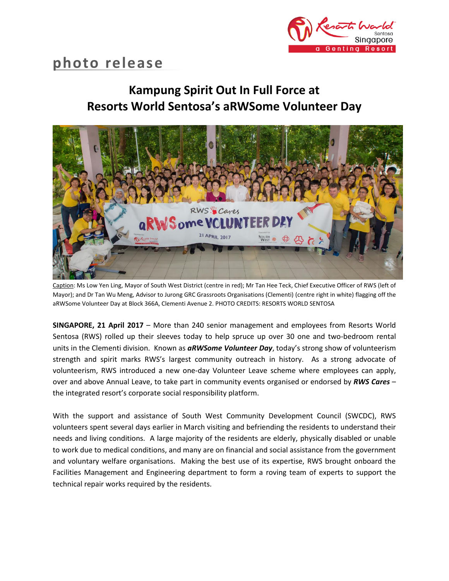

# **photo release**

# **Kampung Spirit Out In Full Force at Resorts World Sentosa's aRWSome Volunteer Day**



Caption: Ms Low Yen Ling, Mayor of South West District (centre in red); Mr Tan Hee Teck, Chief Executive Officer of RWS (left of Mayor); and Dr Tan Wu Meng, Advisor to Jurong GRC Grassroots Organisations (Clementi) (centre right in white) flagging off the aRWSome Volunteer Day at Block 366A, Clementi Avenue 2. PHOTO CREDITS: RESORTS WORLD SENTOSA

**SINGAPORE, 21 April 2017** – More than 240 senior management and employees from Resorts World Sentosa (RWS) rolled up their sleeves today to help spruce up over 30 one and two-bedroom rental units in the Clementi division. Known as *aRWSome Volunteer Day*, today's strong show of volunteerism strength and spirit marks RWS's largest community outreach in history. As a strong advocate of volunteerism, RWS introduced a new one-day Volunteer Leave scheme where employees can apply, over and above Annual Leave, to take part in community events organised or endorsed by *RWS Cares* – the integrated resort's corporate social responsibility platform.

With the support and assistance of South West Community Development Council (SWCDC), RWS volunteers spent several days earlier in March visiting and befriending the residents to understand their needs and living conditions. A large majority of the residents are elderly, physically disabled or unable to work due to medical conditions, and many are on financial and social assistance from the government and voluntary welfare organisations. Making the best use of its expertise, RWS brought onboard the Facilities Management and Engineering department to form a roving team of experts to support the technical repair works required by the residents.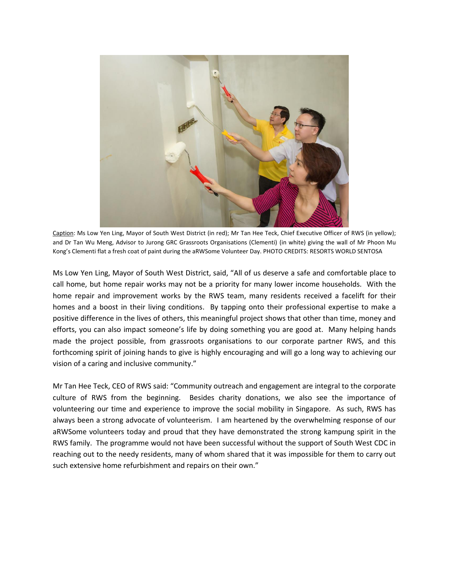

Caption: Ms Low Yen Ling, Mayor of South West District (in red); Mr Tan Hee Teck, Chief Executive Officer of RWS (in yellow); and Dr Tan Wu Meng, Advisor to Jurong GRC Grassroots Organisations (Clementi) (in white) giving the wall of Mr Phoon Mu Kong's Clementi flat a fresh coat of paint during the aRWSome Volunteer Day. PHOTO CREDITS: RESORTS WORLD SENTOSA

Ms Low Yen Ling, Mayor of South West District, said, "All of us deserve a safe and comfortable place to call home, but home repair works may not be a priority for many lower income households. With the home repair and improvement works by the RWS team, many residents received a facelift for their homes and a boost in their living conditions. By tapping onto their professional expertise to make a positive difference in the lives of others, this meaningful project shows that other than time, money and efforts, you can also impact someone's life by doing something you are good at. Many helping hands made the project possible, from grassroots organisations to our corporate partner RWS, and this forthcoming spirit of joining hands to give is highly encouraging and will go a long way to achieving our vision of a caring and inclusive community."

Mr Tan Hee Teck, CEO of RWS said: "Community outreach and engagement are integral to the corporate culture of RWS from the beginning. Besides charity donations, we also see the importance of volunteering our time and experience to improve the social mobility in Singapore. As such, RWS has always been a strong advocate of volunteerism. I am heartened by the overwhelming response of our aRWSome volunteers today and proud that they have demonstrated the strong kampung spirit in the RWS family. The programme would not have been successful without the support of South West CDC in reaching out to the needy residents, many of whom shared that it was impossible for them to carry out such extensive home refurbishment and repairs on their own."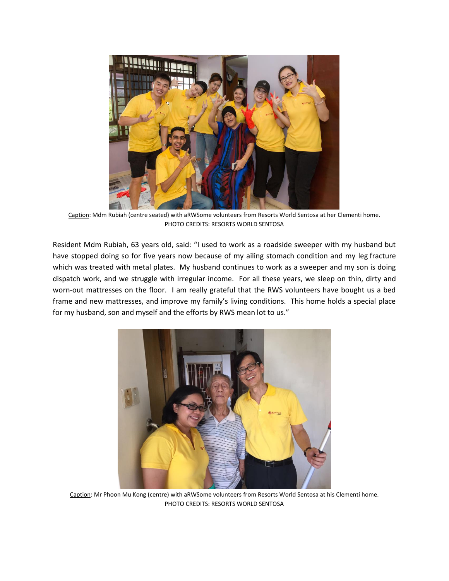

Caption: Mdm Rubiah (centre seated) with aRWSome volunteers from Resorts World Sentosa at her Clementi home. PHOTO CREDITS: RESORTS WORLD SENTOSA

Resident Mdm Rubiah, 63 years old, said: "I used to work as a roadside sweeper with my husband but have stopped doing so for five years now because of my ailing stomach condition and my leg fracture which was treated with metal plates. My husband continues to work as a sweeper and my son is doing dispatch work, and we struggle with irregular income. For all these years, we sleep on thin, dirty and worn-out mattresses on the floor. I am really grateful that the RWS volunteers have bought us a bed frame and new mattresses, and improve my family's living conditions. This home holds a special place for my husband, son and myself and the efforts by RWS mean lot to us."



Caption: Mr Phoon Mu Kong (centre) with aRWSome volunteers from Resorts World Sentosa at his Clementi home. PHOTO CREDITS: RESORTS WORLD SENTOSA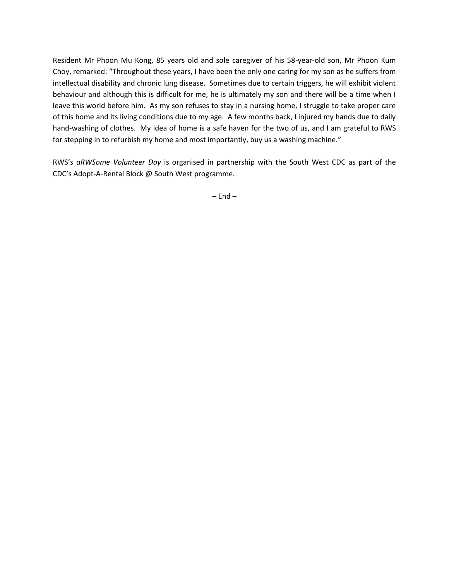Resident Mr Phoon Mu Kong, 85 years old and sole caregiver of his 58-year-old son, Mr Phoon Kum Choy, remarked: "Throughout these years, I have been the only one caring for my son as he suffers from intellectual disability and chronic lung disease. Sometimes due to certain triggers, he will exhibit violent behaviour and although this is difficult for me, he is ultimately my son and there will be a time when I leave this world before him. As my son refuses to stay in a nursing home, I struggle to take proper care of this home and its living conditions due to my age. A few months back, I injured my hands due to daily hand-washing of clothes. My idea of home is a safe haven for the two of us, and I am grateful to RWS for stepping in to refurbish my home and most importantly, buy us a washing machine."

RWS's *aRWSome Volunteer Day* is organised in partnership with the South West CDC as part of the CDC's Adopt-A-Rental Block @ South West programme.

 $-$  End  $-$